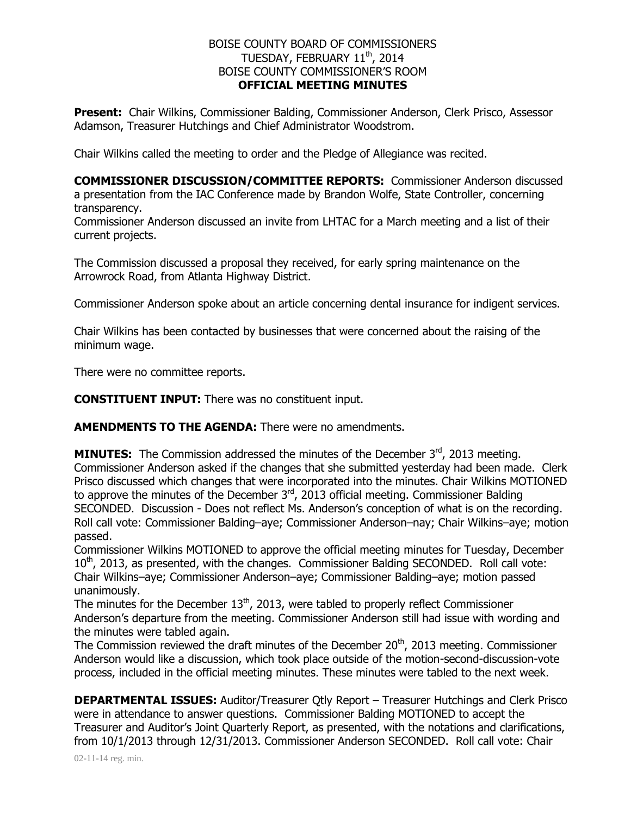## BOISE COUNTY BOARD OF COMMISSIONERS TUESDAY, FEBRUARY  $11^{\text{th}}$ , 2014 BOISE COUNTY COMMISSIONER'S ROOM **OFFICIAL MEETING MINUTES**

**Present:** Chair Wilkins, Commissioner Balding, Commissioner Anderson, Clerk Prisco, Assessor Adamson, Treasurer Hutchings and Chief Administrator Woodstrom.

Chair Wilkins called the meeting to order and the Pledge of Allegiance was recited.

**COMMISSIONER DISCUSSION/COMMITTEE REPORTS:** Commissioner Anderson discussed a presentation from the IAC Conference made by Brandon Wolfe, State Controller, concerning transparency.

Commissioner Anderson discussed an invite from LHTAC for a March meeting and a list of their current projects.

The Commission discussed a proposal they received, for early spring maintenance on the Arrowrock Road, from Atlanta Highway District.

Commissioner Anderson spoke about an article concerning dental insurance for indigent services.

Chair Wilkins has been contacted by businesses that were concerned about the raising of the minimum wage.

There were no committee reports.

**CONSTITUENT INPUT:** There was no constituent input.

**AMENDMENTS TO THE AGENDA:** There were no amendments.

**MINUTES:** The Commission addressed the minutes of the December 3rd, 2013 meeting. Commissioner Anderson asked if the changes that she submitted yesterday had been made. Clerk Prisco discussed which changes that were incorporated into the minutes. Chair Wilkins MOTIONED to approve the minutes of the December  $3<sup>rd</sup>$ , 2013 official meeting. Commissioner Balding SECONDED. Discussion - Does not reflect Ms. Anderson's conception of what is on the recording. Roll call vote: Commissioner Balding–aye; Commissioner Anderson–nay; Chair Wilkins–aye; motion passed.

Commissioner Wilkins MOTIONED to approve the official meeting minutes for Tuesday, December  $10<sup>th</sup>$ , 2013, as presented, with the changes. Commissioner Balding SECONDED. Roll call vote: Chair Wilkins–aye; Commissioner Anderson–aye; Commissioner Balding–aye; motion passed unanimously.

The minutes for the December  $13<sup>th</sup>$ , 2013, were tabled to properly reflect Commissioner Anderson's departure from the meeting. Commissioner Anderson still had issue with wording and the minutes were tabled again.

The Commission reviewed the draft minutes of the December 20<sup>th</sup>, 2013 meeting. Commissioner Anderson would like a discussion, which took place outside of the motion-second-discussion-vote process, included in the official meeting minutes. These minutes were tabled to the next week.

**DEPARTMENTAL ISSUES:** Auditor/Treasurer Otly Report – Treasurer Hutchings and Clerk Prisco were in attendance to answer questions. Commissioner Balding MOTIONED to accept the Treasurer and Auditor's Joint Quarterly Report, as presented, with the notations and clarifications, from 10/1/2013 through 12/31/2013. Commissioner Anderson SECONDED. Roll call vote: Chair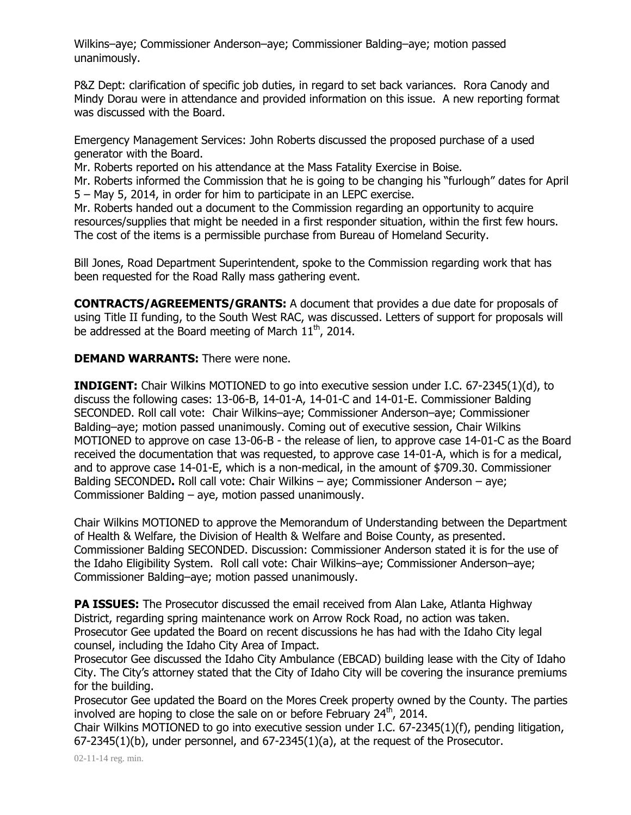Wilkins–aye; Commissioner Anderson–aye; Commissioner Balding–aye; motion passed unanimously.

P&Z Dept: clarification of specific job duties, in regard to set back variances. Rora Canody and Mindy Dorau were in attendance and provided information on this issue. A new reporting format was discussed with the Board.

Emergency Management Services: John Roberts discussed the proposed purchase of a used generator with the Board.

Mr. Roberts reported on his attendance at the Mass Fatality Exercise in Boise.

Mr. Roberts informed the Commission that he is going to be changing his "furlough" dates for April 5 – May 5, 2014, in order for him to participate in an LEPC exercise.

Mr. Roberts handed out a document to the Commission regarding an opportunity to acquire resources/supplies that might be needed in a first responder situation, within the first few hours. The cost of the items is a permissible purchase from Bureau of Homeland Security.

Bill Jones, Road Department Superintendent, spoke to the Commission regarding work that has been requested for the Road Rally mass gathering event.

**CONTRACTS/AGREEMENTS/GRANTS:** A document that provides a due date for proposals of using Title II funding, to the South West RAC, was discussed. Letters of support for proposals will be addressed at the Board meeting of March  $11<sup>th</sup>$ , 2014.

## **DEMAND WARRANTS:** There were none.

**INDIGENT:** Chair Wilkins MOTIONED to go into executive session under I.C. 67-2345(1)(d), to discuss the following cases: 13-06-B, 14-01-A, 14-01-C and 14-01-E. Commissioner Balding SECONDED. Roll call vote: Chair Wilkins–aye; Commissioner Anderson–aye; Commissioner Balding–aye; motion passed unanimously. Coming out of executive session, Chair Wilkins MOTIONED to approve on case 13-06-B - the release of lien, to approve case 14-01-C as the Board received the documentation that was requested, to approve case 14-01-A, which is for a medical, and to approve case 14-01-E, which is a non-medical, in the amount of \$709.30. Commissioner Balding SECONDED**.** Roll call vote: Chair Wilkins – aye; Commissioner Anderson – aye; Commissioner Balding – aye, motion passed unanimously.

Chair Wilkins MOTIONED to approve the Memorandum of Understanding between the Department of Health & Welfare, the Division of Health & Welfare and Boise County, as presented. Commissioner Balding SECONDED. Discussion: Commissioner Anderson stated it is for the use of the Idaho Eligibility System. Roll call vote: Chair Wilkins–aye; Commissioner Anderson–aye; Commissioner Balding–aye; motion passed unanimously.

**PA ISSUES:** The Prosecutor discussed the email received from Alan Lake, Atlanta Highway District, regarding spring maintenance work on Arrow Rock Road, no action was taken. Prosecutor Gee updated the Board on recent discussions he has had with the Idaho City legal counsel, including the Idaho City Area of Impact.

Prosecutor Gee discussed the Idaho City Ambulance (EBCAD) building lease with the City of Idaho City. The City's attorney stated that the City of Idaho City will be covering the insurance premiums for the building.

Prosecutor Gee updated the Board on the Mores Creek property owned by the County. The parties involved are hoping to close the sale on or before February  $24<sup>th</sup>$ , 2014.

Chair Wilkins MOTIONED to go into executive session under I.C. 67-2345(1)(f), pending litigation, 67-2345(1)(b), under personnel, and 67-2345(1)(a), at the request of the Prosecutor.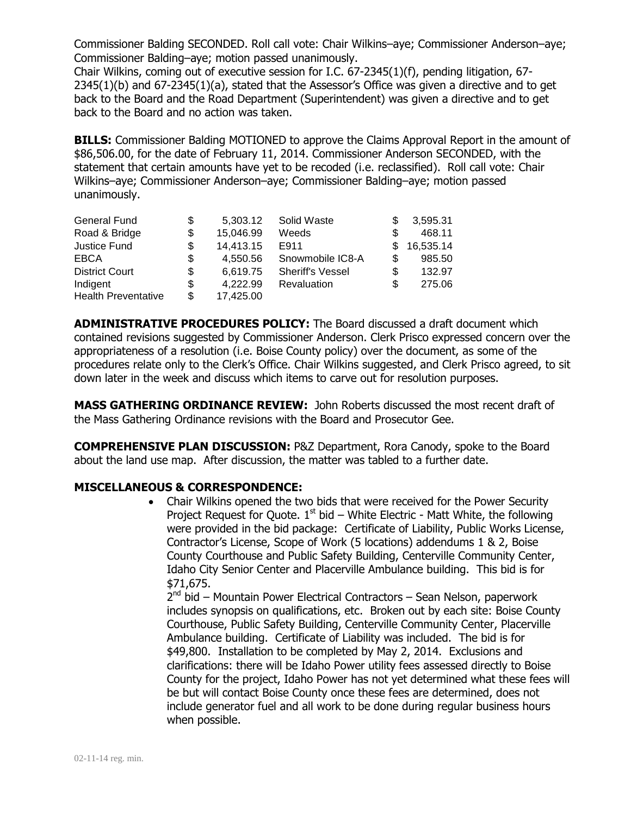Commissioner Balding SECONDED. Roll call vote: Chair Wilkins–aye; Commissioner Anderson–aye; Commissioner Balding–aye; motion passed unanimously.

Chair Wilkins, coming out of executive session for I.C. 67-2345(1)(f), pending litigation, 67- 2345(1)(b) and 67-2345(1)(a), stated that the Assessor's Office was given a directive and to get back to the Board and the Road Department (Superintendent) was given a directive and to get back to the Board and no action was taken.

**BILLS:** Commissioner Balding MOTIONED to approve the Claims Approval Report in the amount of \$86,506.00, for the date of February 11, 2014. Commissioner Anderson SECONDED, with the statement that certain amounts have yet to be recoded (i.e. reclassified). Roll call vote: Chair Wilkins–aye; Commissioner Anderson–aye; Commissioner Balding–aye; motion passed unanimously.

| General Fund               | \$ | 5.303.12  | Solid Waste             |     | 3,595.31  |
|----------------------------|----|-----------|-------------------------|-----|-----------|
| Road & Bridge              | \$ | 15,046.99 | Weeds                   |     | 468.11    |
| Justice Fund               | S  | 14,413.15 | E911                    | S.  | 16,535.14 |
| <b>EBCA</b>                | S  | 4.550.56  | Snowmobile IC8-A        | S   | 985.50    |
| <b>District Court</b>      | S  | 6.619.75  | <b>Sheriff's Vessel</b> | \$. | 132.97    |
| Indigent                   | S  | 4,222.99  | <b>Revaluation</b>      | S   | 275.06    |
| <b>Health Preventative</b> | S. | 17,425.00 |                         |     |           |

**ADMINISTRATIVE PROCEDURES POLICY:** The Board discussed a draft document which contained revisions suggested by Commissioner Anderson. Clerk Prisco expressed concern over the appropriateness of a resolution (i.e. Boise County policy) over the document, as some of the procedures relate only to the Clerk's Office. Chair Wilkins suggested, and Clerk Prisco agreed, to sit down later in the week and discuss which items to carve out for resolution purposes.

**MASS GATHERING ORDINANCE REVIEW:** John Roberts discussed the most recent draft of the Mass Gathering Ordinance revisions with the Board and Prosecutor Gee.

**COMPREHENSIVE PLAN DISCUSSION:** P&Z Department, Rora Canody, spoke to the Board about the land use map. After discussion, the matter was tabled to a further date.

## **MISCELLANEOUS & CORRESPONDENCE:**

 Chair Wilkins opened the two bids that were received for the Power Security Project Request for Quote.  $1<sup>st</sup>$  bid – White Electric - Matt White, the following were provided in the bid package: Certificate of Liability, Public Works License, Contractor's License, Scope of Work (5 locations) addendums 1 & 2, Boise County Courthouse and Public Safety Building, Centerville Community Center, Idaho City Senior Center and Placerville Ambulance building. This bid is for \$71,675.

2<sup>nd</sup> bid – Mountain Power Electrical Contractors – Sean Nelson, paperwork includes synopsis on qualifications, etc. Broken out by each site: Boise County Courthouse, Public Safety Building, Centerville Community Center, Placerville Ambulance building. Certificate of Liability was included. The bid is for \$49,800. Installation to be completed by May 2, 2014. Exclusions and clarifications: there will be Idaho Power utility fees assessed directly to Boise County for the project, Idaho Power has not yet determined what these fees will be but will contact Boise County once these fees are determined, does not include generator fuel and all work to be done during regular business hours when possible.